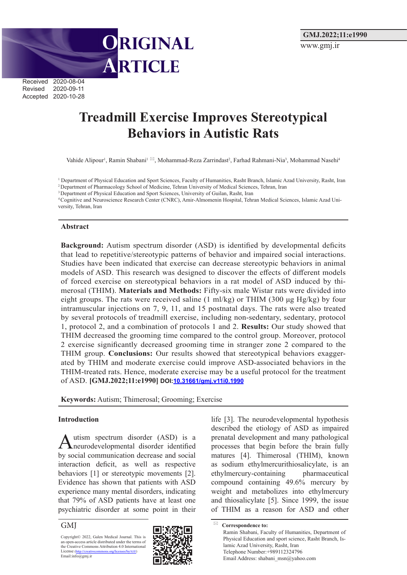

Received 2020-08-04 Revised 2020-09-11 Accepted 2020-10-28

# **Treadmill Exercise Improves Stereotypical Behaviors in Autistic Rats**

Vahide Alipour<sup>1</sup>, Ramin Shabani<sup>1 ⊠</sup>, Mohammad-Reza Zarrindast<sup>2</sup>, Farhad Rahmani-Nia<sup>3</sup>, Mohammad Nasehi<sup>4</sup>

<sup>1</sup> Department of Physical Education and Sport Sciences, Faculty of Humanities, Rasht Branch, Islamic Azad University, Rasht, Iran

2 Department of Pharmacology School of Medicine, Tehran University of Medical Sciences, Tehran, Iran

<sup>3</sup> Department of Physical Education and Sport Sciences, University of Guilan, Rasht, Iran

4 Cognitive and Neuroscience Research Center (CNRC), Amir-Almomenin Hospital, Tehran Medical Sciences, Islamic Azad University, Tehran, Iran

#### **Abstract**

**Background:** Autism spectrum disorder (ASD) is identified by developmental deficits that lead to repetitive/stereotypic patterns of behavior and impaired social interactions. Studies have been indicated that exercise can decrease stereotypic behaviors in animal models of ASD. This research was designed to discover the effects of different models of forced exercise on stereotypical behaviors in a rat model of ASD induced by thimerosal (THIM). **Materials and Methods:** Fifty-six male Wistar rats were divided into eight groups. The rats were received saline (1 ml/kg) or THIM (300  $\mu$ g Hg/kg) by four intramuscular injections on 7, 9, 11, and 15 postnatal days. The rats were also treated by several protocols of treadmill exercise, including non-sedentary, sedentary, protocol 1, protocol 2, and a combination of protocols 1 and 2. **Results:** Our study showed that THIM decreased the grooming time compared to the control group. Moreover, protocol 2 exercise significantly decreased grooming time in stranger zone 2 compared to the THIM group. **Conclusions:** Our results showed that stereotypical behaviors exaggerated by THIM and moderate exercise could improve ASD-associated behaviors in the THIM-treated rats. Hence, moderate exercise may be a useful protocol for the treatment of ASD. **[GMJ.2022;11:e1990] DOI:10.31661/gmj.v11i0.1990**

**Keywords:** Autism; Thimerosal; Grooming; Exercise

#### **Introduction**

Autism spectrum disorder (ASD) is a neurodevelopmental disorder identified by social communication decrease and social interaction deficit, as well as respective behaviors [1] or stereotypic movements [2]. Evidence has shown that patients with ASD experience many mental disorders, indicating that 79% of ASD patients have at least one psychiatric disorder at some point in their

GMJ

Copyright© 2022, Galen Medical Journal. This is an open-access article distributed under the terms of the Creative Commons Attribution 4.0 International License (http://creativecommons.org/licenses/by/4.0/)<br>Email:info@gmj.ir



life [3]. The neurodevelopmental hypothesis described the etiology of ASD as impaired prenatal development and many pathological processes that begin before the brain fully matures [4]. Thimerosal (THIM), known as sodium ethylmercurithiosalicylate, is an ethylmercury-containing pharmaceutical compound containing 49.6% mercury by weight and metabolizes into ethylmercury and thiosalicylate [5]. Since 1999, the issue of THIM as a reason for ASD and other

 **Correspondence to:** Ramin Shabani, Faculty of Humanities, Department of Physical Education and sport science, Rasht Branch, Islamic Azad University, Rasht, Iran Telephone Number:+989112324796 Email Address: shabani\_msn@yahoo.com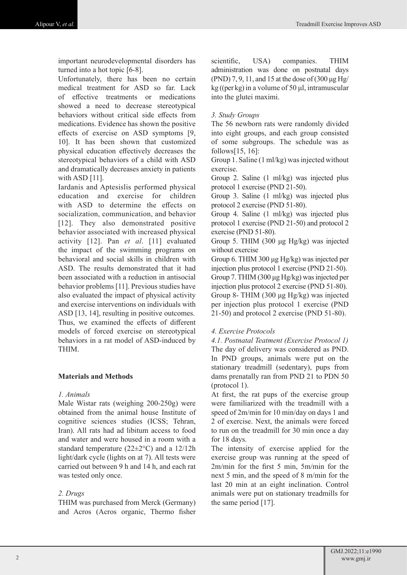important neurodevelopmental disorders has turned into a hot topic [6-8].

Unfortunately, there has been no certain medical treatment for ASD so far. Lack of effective treatments or medications showed a need to decrease stereotypical behaviors without critical side effects from medications. Evidence has shown the positive effects of exercise on ASD symptoms [9, 10]. It has been shown that customized physical education effectively decreases the stereotypical behaviors of a child with ASD and dramatically decreases anxiety in patients with ASD [11].

Iardanis and Aptesislis performed physical education and exercise for children with ASD to determine the effects on socialization, communication, and behavior [12]. They also demonstrated positive behavior associated with increased physical activity [12]. Pan *et al*. [11] evaluated the impact of the swimming programs on behavioral and social skills in children with ASD. The results demonstrated that it had been associated with a reduction in antisocial behavior problems [11]. Previous studies have also evaluated the impact of physical activity and exercise interventions on individuals with ASD [13, 14], resulting in positive outcomes. Thus, we examined the effects of different models of forced exercise on stereotypical behaviors in a rat model of ASD-induced by THIM.

## **Materials and Methods**

## *1. Animals*

Male Wistar rats (weighing 200-250g) were obtained from the animal house Institute of cognitive sciences studies (ICSS; Tehran, Iran). All rats had ad libitum access to food and water and were housed in a room with a standard temperature  $(22 \pm 2^{\circ}C)$  and a 12/12h light/dark cycle (lights on at 7). All tests were carried out between 9 h and 14 h, and each rat was tested only once.

## *2. Drugs*

THIM was purchased from Merck (Germany) and Acros (Acros organic, Thermo fisher scientific, USA) companies. THIM administration was done on postnatal days (PND) 7, 9, 11, and 15 at the dose of (300 μg Hg/ kg ((per kg) in a volume of 50 μl, intramuscular into the glutei maximi.

#### *3. Study Groups*

The 56 newborn rats were randomly divided into eight groups, and each group consisted of some subgroups. The schedule was as follows[15, 16]:

Group 1. Saline (1 ml/kg) was injected without exercise.

Group 2. Saline (1 ml/kg) was injected plus protocol 1 exercise (PND 21-50).

Group 3. Saline (1 ml/kg) was injected plus protocol 2 exercise (PND 51-80).

Group 4. Saline (1 ml/kg) was injected plus protocol 1 exercise (PND 21-50) and protocol 2 exercise (PND 51-80).

Group 5. THIM (300 μg Hg/kg) was injected without exercise

Group 6. THIM 300 μg Hg/kg) was injected per injection plus protocol 1 exercise (PND 21-50).

Group 7. THIM (300 μg Hg/kg) was injected per injection plus protocol 2 exercise (PND 51-80). Group 8- THIM (300 μg Hg/kg) was injected per injection plus protocol 1 exercise (PND 21-50) and protocol 2 exercise (PND 51-80).

#### *4. Exercise Protocols*

*4.1. Postnatal Teatment (Exercise Protocol 1)* The day of delivery was considered as PND. In PND groups, animals were put on the stationary treadmill (sedentary), pups from dams prenatally ran from PND 21 to PDN 50 (protocol 1).

At first, the rat pups of the exercise group were familiarized with the treadmill with a speed of 2m/min for 10 min/day on days 1 and 2 of exercise. Next, the animals were forced to run on the treadmill for 30 min once a day for 18 days.

The intensity of exercise applied for the exercise group was running at the speed of 2m/min for the first 5 min, 5m/min for the next 5 min, and the speed of 8 m/min for the last 20 min at an eight inclination. Control animals were put on stationary treadmills for the same period [17].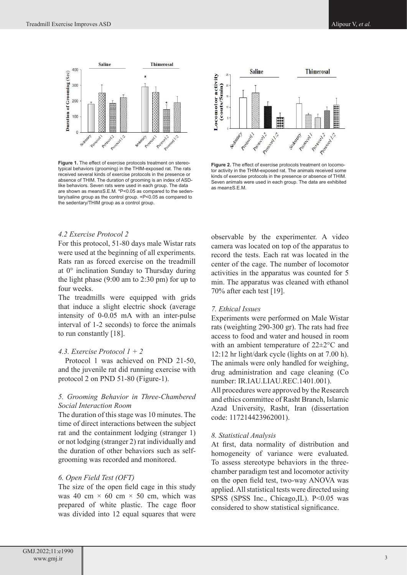

**Figure 1.** The effect of exercise protocols treatment on stereotypical behaviors (grooming) in the THIM-exposed rat. The rats received several kinds of exercise protocols in the presence or absence of THIM. The duration of grooming is an index of ASDlike behaviors. Seven rats were used in each group. The data are shown as mean±S.E.M. \*P<0.05 as compared to the sedentary/saline group as the control group. +P<0.05 as compared to the sedentary/THIM group as a control group.



**Figure 2.** The effect of exercise protocols treatment on locomotor activity in the THIM-exposed rat. The animals received some kinds of exercise protocols in the presence or absence of THIM. Seven animals were used in each group. The data are exhibited as mean±S.E.M.

#### *4.2 Exercise Protocol 2*

For this protocol, 51-80 days male Wistar rats were used at the beginning of all experiments. Rats ran as forced exercise on the treadmill at 0° inclination Sunday to Thursday during the light phase (9:00 am to 2:30 pm) for up to four weeks.

The treadmills were equipped with grids that induce a slight electric shock (average intensity of 0-0.05 mA with an inter-pulse interval of 1-2 seconds) to force the animals to run constantly [18].

#### *4.3. Exercise Protocol 1 + 2*

 Protocol 1 was achieved on PND 21-50, and the juvenile rat did running exercise with protocol 2 on PND 51-80 (Figure-1).

## *5. Grooming Behavior in Three-Chambered Social Interaction Room*

The duration of this stage was 10 minutes. The time of direct interactions between the subject rat and the containment lodging (stranger 1) or not lodging (stranger 2) rat individually and the duration of other behaviors such as selfgrooming was recorded and monitored.

#### *6. Open Field Test (OFT)*

The size of the open field cage in this study was 40 cm  $\times$  60 cm  $\times$  50 cm, which was prepared of white plastic. The cage floor was divided into 12 equal squares that were

observable by the experimenter. A video camera was located on top of the apparatus to record the tests. Each rat was located in the center of the cage. The number of locomotor activities in the apparatus was counted for 5 min. The apparatus was cleaned with ethanol 70% after each test [19].

#### *7. Ethical Issues*

Experiments were performed on Male Wistar rats (weighting 290-300 gr). The rats had free access to food and water and housed in room with an ambient temperature of 22±2°C and 12:12 hr light/dark cycle (lights on at 7.00 h). The animals were only handled for weighing, drug administration and cage cleaning (Co number: IR.IAU.LIAU.REC.1401.001). All procedures were approved by the Research and ethics committee of Rasht Branch, Islamic Azad University, Rasht, Iran (dissertation code: 117214423962001).

#### *8. Statistical Analysis*

At first, data normality of distribution and homogeneity of variance were evaluated. To assess stereotype behaviors in the threechamber paradigm test and locomotor activity on the open field test, two-way ANOVA was applied. All statistical tests were directed using SPSS (SPSS Inc., Chicago, IL). P<0.05 was considered to show statistical significance.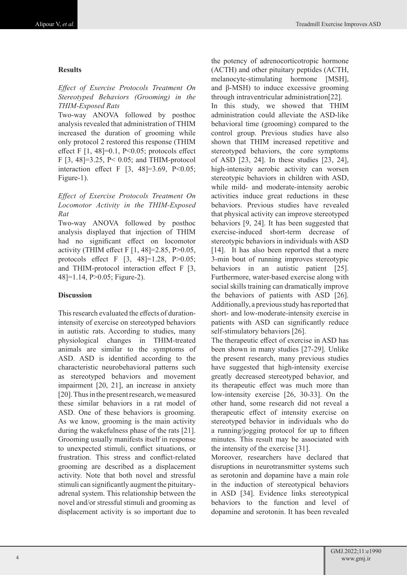#### **Results**

## *Effect of Exercise Protocols Treatment On Stereotyped Behaviors (Grooming) in the THIM-Exposed Rats*

Two-way ANOVA followed by posthoc analysis revealed that administration of THIM increased the duration of grooming while only protocol 2 restored this response (THIM effect F  $[1, 48] = 0.1$ , P<0.05; protocols effect F [3, 48]=3.25, P< 0.05; and THIM-protocol interaction effect F  $[3, 48] = 3.69$ , P<0.05; Figure-1).

## *Effect of Exercise Protocols Treatment On Locomotor Activity in the THIM-Exposed Rat*

Two-way ANOVA followed by posthoc analysis displayed that injection of THIM had no significant effect on locomotor activity (THIM effect F [1, 48]=2.85, P>0.05, protocols effect F [3, 48]=1.28, P>0.05; and THIM-protocol interaction effect F [3, 48]=1.14, P>0.05; Figure-2).

## **Discussion**

This research evaluated the effects of durationintensity of exercise on stereotyped behaviors in autistic rats. According to studies, many physiological changes in THIM-treated animals are similar to the symptoms of ASD. ASD is identified according to the characteristic neurobehavioral patterns such as stereotyped behaviors and movement impairment [20, 21], an increase in anxiety [20]. Thus in the present research, we measured these similar behaviors in a rat model of ASD. One of these behaviors is grooming. As we know, grooming is the main activity during the wakefulness phase of the rats [21]. Grooming usually manifests itself in response to unexpected stimuli, conflict situations, or frustration. This stress and conflict-related grooming are described as a displacement activity. Note that both novel and stressful stimuli can significantly augment the pituitaryadrenal system. This relationship between the novel and/or stressful stimuli and grooming as displacement activity is so important due to

the potency of adrenocorticotropic hormone (ACTH) and other pituitary peptides (ACTH, melanocyte-stimulating hormone [MSH], and β-MSH) to induce excessive grooming through intraventricular administration[22].

In this study, we showed that THIM administration could alleviate the ASD-like behavioral time (grooming) compared to the control group. Previous studies have also shown that THIM increased repetitive and stereotyped behaviors, the core symptoms of ASD [23, 24]. In these studies [23, 24], high-intensity aerobic activity can worsen stereotypic behaviors in children with ASD, while mild- and moderate-intensity aerobic activities induce great reductions in these behaviors. Previous studies have revealed that physical activity can improve stereotyped behaviors [9, 24]. It has been suggested that exercise-induced short-term decrease of stereotypic behaviors in individuals with ASD [14]. It has also been reported that a mere 3-min bout of running improves stereotypic behaviors in an autistic patient [25]. Furthermore, water-based exercise along with social skills training can dramatically improve the behaviors of patients with ASD [26]. Additionally, a previous study has reported that short- and low-moderate-intensity exercise in patients with ASD can significantly reduce self-stimulatory behaviors [26].

The therapeutic effect of exercise in ASD has been shown in many studies [27-29]. Unlike the present research, many previous studies have suggested that high-intensity exercise greatly decreased stereotyped behavior, and its therapeutic effect was much more than low-intensity exercise [26, 30-33]. On the other hand, some research did not reveal a therapeutic effect of intensity exercise on stereotyped behavior in individuals who do a running/jogging protocol for up to fifteen minutes. This result may be associated with the intensity of the exercise [31].

Moreover, researchers have declared that disruptions in neurotransmitter systems such as serotonin and dopamine have a main role in the induction of stereotypical behaviors in ASD [34]. Evidence links stereotypical behaviors to the function and level of dopamine and serotonin. It has been revealed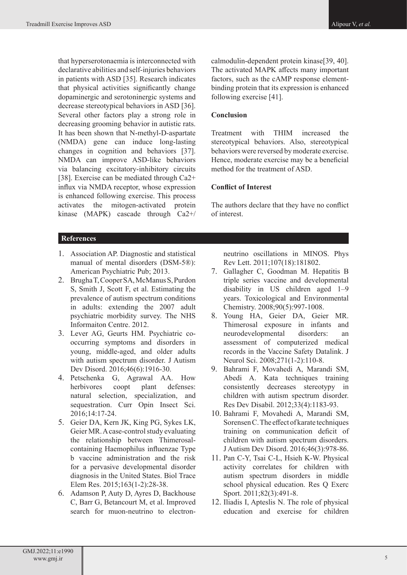that hyperserotonaemia is interconnected with declarative abilities and self-injuries behaviors in patients with ASD [35]. Research indicates that physical activities significantly change dopaminergic and serotoninergic systems and decrease stereotypical behaviors in ASD [36]. Several other factors play a strong role in decreasing grooming behavior in autistic rats. It has been shown that N-methyl-D-aspartate (NMDA) gene can induce long-lasting changes in cognition and behaviors [37]. NMDA can improve ASD-like behaviors via balancing excitatory-inhibitory circuits [38]. Exercise can be mediated through  $Ca2+$ influx via NMDA receptor, whose expression is enhanced following exercise. This process activates the mitogen-activated protein kinase (MAPK) cascade through Ca2+/

# **References**

- 1. Association AP. Diagnostic and statistical manual of mental disorders (DSM-5®): American Psychiatric Pub; 2013.
- 2. Brugha T, Cooper SA, McManus S, Purdon S, Smith J, Scott F, et al. Estimating the prevalence of autism spectrum conditions in adults: extending the 2007 adult psychiatric morbidity survey. The NHS Informaiton Centre. 2012.
- 3. Lever AG, Geurts HM. Psychiatric cooccurring symptoms and disorders in young, middle-aged, and older adults with autism spectrum disorder. J Autism Dev Disord. 2016;46(6):1916-30.
- 4. Petschenka G, Agrawal AA. How herbivores coopt plant defenses: natural selection, specialization, and sequestration. Curr Opin Insect Sci. 2016;14:17-24.
- 5. Geier DA, Kern JK, King PG, Sykes LK, Geier MR. A case-control study evaluating the relationship between Thimerosalcontaining Haemophilus influenzae Type b vaccine administration and the risk for a pervasive developmental disorder diagnosis in the United States. Biol Trace Elem Res. 2015;163(1-2):28-38.
- 6. Adamson P, Auty D, Ayres D, Backhouse C, Barr G, Betancourt M, et al. Improved search for muon-neutrino to electron-

calmodulin-dependent protein kinase[39, 40]. The activated MAPK affects many important factors, such as the cAMP response elementbinding protein that its expression is enhanced following exercise [41].

## **Conclusion**

Treatment with THIM increased the stereotypical behaviors. Also, stereotypical behaviors were reversed by moderate exercise. Hence, moderate exercise may be a beneficial method for the treatment of ASD.

## **Conflict of Interest**

The authors declare that they have no conflict of interest.

neutrino oscillations in MINOS. Phys Rev Lett. 2011;107(18):181802.

- 7. Gallagher C, Goodman M. Hepatitis B triple series vaccine and developmental disability in US children aged 1–9 years. Toxicological and Environmental Chemistry. 2008;90(5):997-1008.
- 8. Young HA, Geier DA, Geier MR. Thimerosal exposure in infants and neurodevelopmental disorders: an assessment of computerized medical records in the Vaccine Safety Datalink. J Neurol Sci. 2008;271(1-2):110-8.
- 9. Bahrami F, Movahedi A, Marandi SM, Abedi A. Kata techniques training consistently decreases stereotypy in children with autism spectrum disorder. Res Dev Disabil. 2012;33(4):1183-93.
- 10. Bahrami F, Movahedi A, Marandi SM, Sorensen C. The effect of karate techniques training on communication deficit of children with autism spectrum disorders. J Autism Dev Disord. 2016;46(3):978-86.
- 11. Pan C-Y, Tsai C-L, Hsieh K-W. Physical activity correlates for children with autism spectrum disorders in middle school physical education. Res Q Exerc Sport. 2011;82(3):491-8.
- 12. Iliadis I, Apteslis N. The role of physical education and exercise for children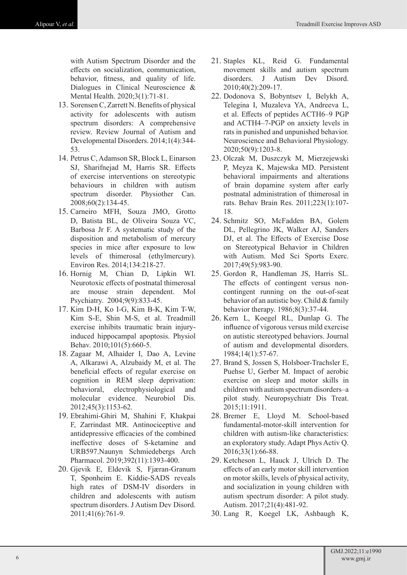with Autism Spectrum Disorder and the effects on socialization, communication, behavior, fitness, and quality of life. Dialogues in Clinical Neuroscience & Mental Health. 2020;3(1):71-81.

- 13. Sorensen C, Zarrett N. Benefits of physical activity for adolescents with autism spectrum disorders: A comprehensive review. Review Journal of Autism and Developmental Disorders. 2014;1(4):344- 53.
- 14. Petrus C, Adamson SR, Block L, Einarson SJ, Sharifnejad M, Harris SR. Effects of exercise interventions on stereotypic behaviours in children with autism spectrum disorder. Physiother Can. 2008;60(2):134-45.
- 15. Carneiro MFH, Souza JMO, Grotto D, Batista BL, de Oliveira Souza VC, Barbosa Jr F. A systematic study of the disposition and metabolism of mercury species in mice after exposure to low levels of thimerosal (ethylmercury). Environ Res. 2014;134:218-27.
- 16. Hornig M, Chian D, Lipkin WI. Neurotoxic effects of postnatal thimerosal are mouse strain dependent. Mol Psychiatry. 2004;9(9):833-45.
- 17. Kim D-H, Ko I-G, Kim B-K, Kim T-W, Kim S-E, Shin M-S, et al. Treadmill exercise inhibits traumatic brain injuryinduced hippocampal apoptosis. Physiol Behav. 2010;101(5):660-5.
- 18. Zagaar M, Alhaider I, Dao A, Levine A, Alkarawi A, Alzubaidy M, et al. The beneficial effects of regular exercise on cognition in REM sleep deprivation: behavioral, electrophysiological and molecular evidence. Neurobiol Dis. 2012;45(3):1153-62.
- 19. Ebrahimi-Ghiri M, Shahini F, Khakpai F, Zarrindast MR. Antinociceptive and antidepressive efficacies of the combined ineffective doses of S-ketamine and URB597.Naunyn Schmiedebergs Arch Pharmacol. 2019;392(11):1393-400.
- 20. Gjevik E, Eldevik S, Fjæran-Granum T, Sponheim E. Kiddie-SADS reveals high rates of DSM-IV disorders in children and adolescents with autism spectrum disorders. J Autism Dev Disord. 2011;41(6):761-9.
- 21. Staples KL, Reid G. Fundamental movement skills and autism spectrum disorders. J Autism Dev Disord. 2010;40(2):209-17.
- 22. Dodonova S, Bobyntsev I, Belykh A, Telegina I, Muzaleva YA, Andreeva L, et al. Effects of peptides ACTH6–9 PGP and ACTH4–7-PGP on anxiety levels in rats in punished and unpunished behavior. Neuroscience and Behavioral Physiology. 2020;50(9):1203-8.
- 23. Olczak M, Duszczyk M, Mierzejewski P, Meyza K, Majewska MD. Persistent behavioral impairments and alterations of brain dopamine system after early postnatal administration of thimerosal in rats. Behav Brain Res. 2011;223(1):107- 18.
- 24. Schmitz SO, McFadden BA, Golem DL, Pellegrino JK, Walker AJ, Sanders DJ, et al. The Effects of Exercise Dose on Stereotypical Behavior in Children with Autism. Med Sci Sports Exerc. 2017;49(5):983-90.
- 25. Gordon R, Handleman JS, Harris SL. The effects of contingent versus noncontingent running on the out-of-seat behavior of an autistic boy. Child & family behavior therapy. 1986;8(3):37-44.
- 26. Kern L, Koegel RL, Dunlap G. The influence of vigorous versus mild exercise on autistic stereotyped behaviors. Journal of autism and developmental disorders. 1984;14(1):57-67.
- 27. Brand S, Jossen S, Holsboer-Trachsler E, Puehse U, Gerber M. Impact of aerobic exercise on sleep and motor skills in children with autism spectrum disorders–a pilot study. Neuropsychiatr Dis Treat. 2015;11:1911.
- 28. Bremer E, Lloyd M. School-based fundamental-motor-skill intervention for children with autism-like characteristics: an exploratory study. Adapt Phys Activ Q. 2016;33(1):66-88.
- 29. Ketcheson L, Hauck J, Ulrich D. The effects of an early motor skill intervention on motor skills, levels of physical activity, and socialization in young children with autism spectrum disorder: A pilot study. Autism. 2017;21(4):481-92.
- 30. Lang R, Koegel LK, Ashbaugh K,